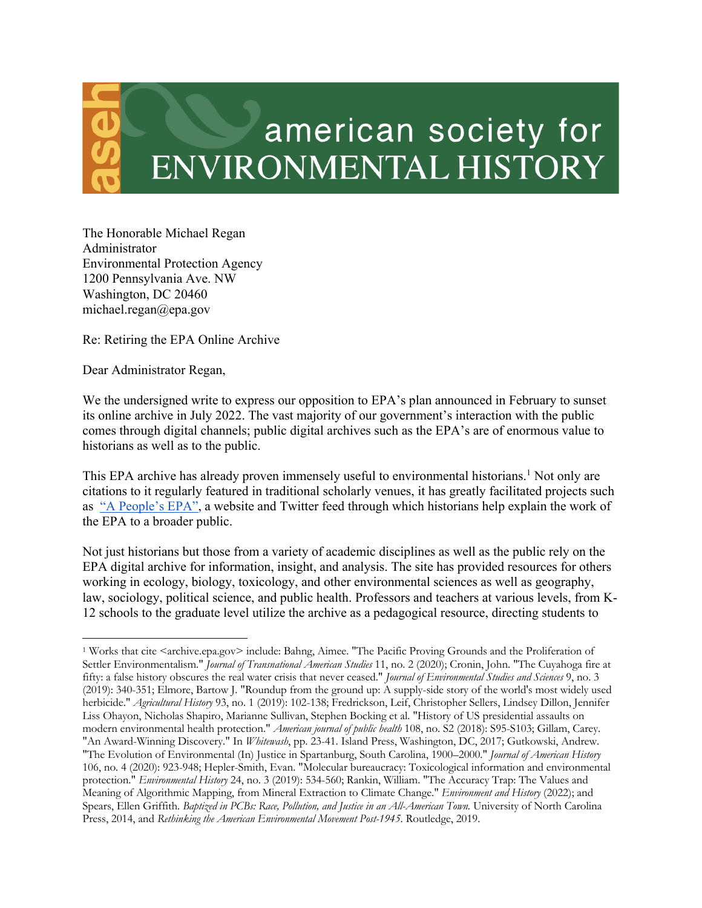## american society for **ENVIRONMENTAL HISTORY**

The Honorable Michael Regan Administrator Environmental Protection Agency 1200 Pennsylvania Ave. NW Washington, DC 20460 michael.regan@epa.gov

Re: Retiring the EPA Online Archive

Dear Administrator Regan,

We the undersigned write to express our opposition to EPA's plan announced in February to sunset its online archive in July 2022. The vast majority of our government's interaction with the public comes through digital channels; public digital archives such as the EPA's are of enormous value to historians as well as to the public.

This EPA archive has already proven immensely useful to environmental historians.<sup>1</sup> Not only are citations to it regularly featured in traditional scholarly venues, it has greatly facilitated projects such as "A People's EPA", a website and Twitter feed through which historians help explain the work of the EPA to a broader public.

Not just historians but those from a variety of academic disciplines as well as the public rely on the EPA digital archive for information, insight, and analysis. The site has provided resources for others working in ecology, biology, toxicology, and other environmental sciences as well as geography, law, sociology, political science, and public health. Professors and teachers at various levels, from K-12 schools to the graduate level utilize the archive as a pedagogical resource, directing students to

<sup>1</sup> Works that cite <archive.epa.gov> include: Bahng, Aimee. "The Pacific Proving Grounds and the Proliferation of Settler Environmentalism." *Journal of Transnational American Studies* 11, no. 2 (2020); Cronin, John. "The Cuyahoga fire at fifty: a false history obscures the real water crisis that never ceased." *Journal of Environmental Studies and Sciences* 9, no. 3 (2019): 340-351; Elmore, Bartow J. "Roundup from the ground up: A supply-side story of the world's most widely used herbicide." *Agricultural History* 93, no. 1 (2019): 102-138; Fredrickson, Leif, Christopher Sellers, Lindsey Dillon, Jennifer Liss Ohayon, Nicholas Shapiro, Marianne Sullivan, Stephen Bocking et al. "History of US presidential assaults on modern environmental health protection." *American journal of public health* 108, no. S2 (2018): S95-S103; Gillam, Carey. "An Award-Winning Discovery." In *Whitewash*, pp. 23-41. Island Press, Washington, DC, 2017; Gutkowski, Andrew. "The Evolution of Environmental (In) Justice in Spartanburg, South Carolina, 1900–2000." *Journal of American History* 106, no. 4 (2020): 923-948; Hepler-Smith, Evan. "Molecular bureaucracy: Toxicological information and environmental protection." *Environmental History* 24, no. 3 (2019): 534-560; Rankin, William. "The Accuracy Trap: The Values and Meaning of Algorithmic Mapping, from Mineral Extraction to Climate Change." *Environment and History* (2022); and Spears, Ellen Griffith. *Baptized in PCBs: Race, Pollution, and Justice in an All-American Town.* University of North Carolina Press, 2014, and *Rethinking the American Environmental Movement Post-1945*. Routledge, 2019.